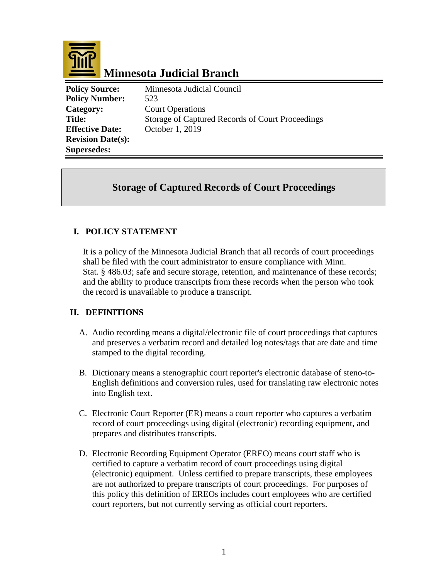

# **Minnesota Judicial Branch**

**Policy Source:** Minnesota Judicial Council **Policy Number:** 523 **Category:** Court Operations **Title:** Storage of Captured Records of Court Proceedings **Effective Date:** October 1, 2019 **Revision Date(s): Supersedes:** 

## **Storage of Captured Records of Court Proceedings**

## **I. POLICY STATEMENT**

It is a policy of the Minnesota Judicial Branch that all records of court proceedings shall be filed with the court administrator to ensure compliance with Minn. Stat. § 486.03; safe and secure storage, retention, and maintenance of these records; and the ability to produce transcripts from these records when the person who took the record is unavailable to produce a transcript.

## **II. DEFINITIONS**

- A. Audio recording means a digital/electronic file of court proceedings that captures and preserves a verbatim record and detailed log notes/tags that are date and time stamped to the digital recording.
- B. Dictionary means a stenographic court reporter's electronic database of steno-to-English definitions and conversion rules, used for translating raw electronic notes into English text.
- C. Electronic Court Reporter (ER) means a court reporter who captures a verbatim record of court proceedings using digital (electronic) recording equipment, and prepares and distributes transcripts.
- D. Electronic Recording Equipment Operator (EREO) means court staff who is certified to capture a verbatim record of court proceedings using digital (electronic) equipment. Unless certified to prepare transcripts, these employees are not authorized to prepare transcripts of court proceedings. For purposes of this policy this definition of EREOs includes court employees who are certified court reporters, but not currently serving as official court reporters.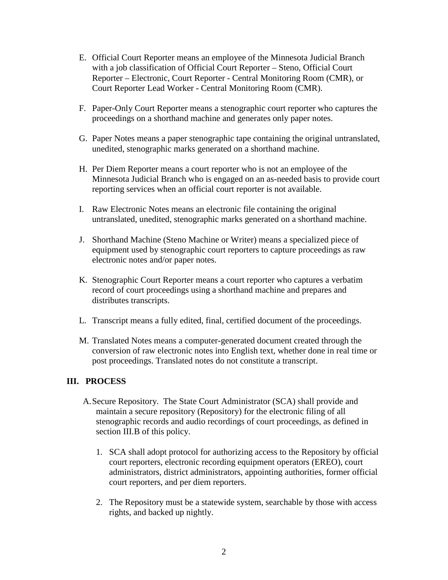- E. Official Court Reporter means an employee of the Minnesota Judicial Branch with a job classification of Official Court Reporter – Steno, Official Court Reporter – Electronic, Court Reporter - Central Monitoring Room (CMR), or Court Reporter Lead Worker - Central Monitoring Room (CMR).
- F. Paper-Only Court Reporter means a stenographic court reporter who captures the proceedings on a shorthand machine and generates only paper notes.
- G. Paper Notes means a paper stenographic tape containing the original untranslated, unedited, stenographic marks generated on a shorthand machine.
- H. Per Diem Reporter means a court reporter who is not an employee of the Minnesota Judicial Branch who is engaged on an as-needed basis to provide court reporting services when an official court reporter is not available.
- I. Raw Electronic Notes means an electronic file containing the original untranslated, unedited, stenographic marks generated on a shorthand machine.
- J. Shorthand Machine (Steno Machine or Writer) means a specialized piece of equipment used by stenographic court reporters to capture proceedings as raw electronic notes and/or paper notes.
- K. Stenographic Court Reporter means a court reporter who captures a verbatim record of court proceedings using a shorthand machine and prepares and distributes transcripts.
- L. Transcript means a fully edited, final, certified document of the proceedings.
- M. Translated Notes means a computer-generated document created through the conversion of raw electronic notes into English text, whether done in real time or post proceedings. Translated notes do not constitute a transcript.

#### **III. PROCESS**

- A.Secure Repository. The State Court Administrator (SCA) shall provide and maintain a secure repository (Repository) for the electronic filing of all stenographic records and audio recordings of court proceedings, as defined in section III.B of this policy.
	- 1. SCA shall adopt protocol for authorizing access to the Repository by official court reporters, electronic recording equipment operators (EREO), court administrators, district administrators, appointing authorities, former official court reporters, and per diem reporters.
	- 2. The Repository must be a statewide system, searchable by those with access rights, and backed up nightly.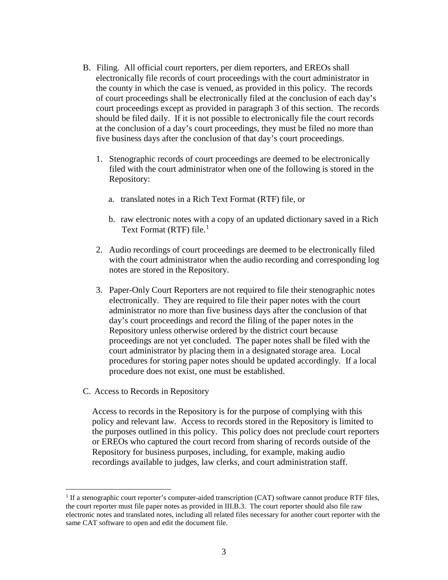- B. Filing. All official court reporters, per diem reporters, and EREOs shall electronically file records of court proceedings with the court administrator in the county in which the case is venued, as provided in this policy. The records of court proceedings shall be electronically filed at the conclusion of each day's court proceedings except as provided in paragraph 3 of this section. The records should be filed daily. If it is not possible to electronically file the court records at the conclusion of a day's court proceedings, they must be filed no more than five business days after the conclusion of that day's court proceedings.
	- 1. Stenographic records of court proceedings are deemed to be electronically filed with the court administrator when one of the following is stored in the Repository:
		- a. translated notes in a Rich Text Format (RTF) file, or
		- b. raw electronic notes with a copy of an updated dictionary saved in a Rich Text Format (RTF) file.<sup>[1](#page-2-0)</sup>
	- 2. Audio recordings of court proceedings are deemed to be electronically filed with the court administrator when the audio recording and corresponding log notes are stored in the Repository.
	- 3. Paper-Only Court Reporters are not required to file their stenographic notes electronically. They are required to file their paper notes with the court administrator no more than five business days after the conclusion of that day's court proceedings and record the filing of the paper notes in the Repository unless otherwise ordered by the district court because proceedings are not yet concluded. The paper notes shall be filed with the court administrator by placing them in a designated storage area. Local procedures for storing paper notes should be updated accordingly. If a local procedure does not exist, one must be established.
- C. Access to Records in Repository

Access to records in the Repository is for the purpose of complying with this policy and relevant law. Access to records stored in the Repository is limited to the purposes outlined in this policy. This policy does not preclude court reporters or EREOs who captured the court record from sharing of records outside of the Repository for business purposes, including, for example, making audio recordings available to judges, law clerks, and court administration staff.

<span id="page-2-0"></span><sup>&</sup>lt;sup>1</sup> If a stenographic court reporter's computer-aided transcription (CAT) software cannot produce RTF files, the court reporter must file paper notes as provided in III.B.3. The court reporter should also file raw electronic notes and translated notes, including all related files necessary for another court reporter with the same CAT software to open and edit the document file.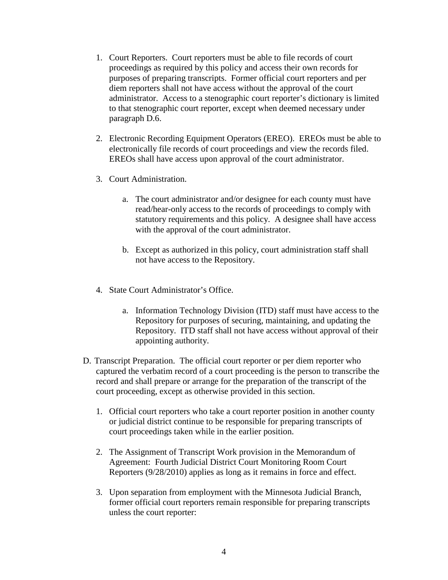- 1. Court Reporters. Court reporters must be able to file records of court proceedings as required by this policy and access their own records for purposes of preparing transcripts. Former official court reporters and per diem reporters shall not have access without the approval of the court administrator. Access to a stenographic court reporter's dictionary is limited to that stenographic court reporter, except when deemed necessary under paragraph D.6.
- 2. Electronic Recording Equipment Operators (EREO). EREOs must be able to electronically file records of court proceedings and view the records filed. EREOs shall have access upon approval of the court administrator.
- 3. Court Administration.
	- a. The court administrator and/or designee for each county must have read/hear-only access to the records of proceedings to comply with statutory requirements and this policy. A designee shall have access with the approval of the court administrator.
	- b. Except as authorized in this policy, court administration staff shall not have access to the Repository.
- 4. State Court Administrator's Office.
	- a. Information Technology Division (ITD) staff must have access to the Repository for purposes of securing, maintaining, and updating the Repository. ITD staff shall not have access without approval of their appointing authority.
- D. Transcript Preparation. The official court reporter or per diem reporter who captured the verbatim record of a court proceeding is the person to transcribe the record and shall prepare or arrange for the preparation of the transcript of the court proceeding, except as otherwise provided in this section.
	- 1. Official court reporters who take a court reporter position in another county or judicial district continue to be responsible for preparing transcripts of court proceedings taken while in the earlier position.
	- 2. The Assignment of Transcript Work provision in the Memorandum of Agreement: Fourth Judicial District Court Monitoring Room Court Reporters (9/28/2010) applies as long as it remains in force and effect.
	- 3. Upon separation from employment with the Minnesota Judicial Branch, former official court reporters remain responsible for preparing transcripts unless the court reporter: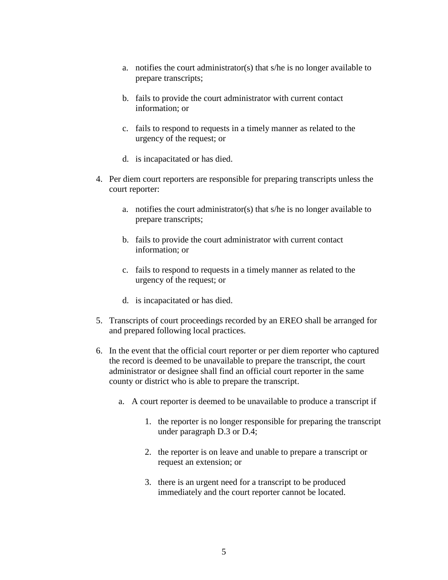- a. notifies the court administrator(s) that s/he is no longer available to prepare transcripts;
- b. fails to provide the court administrator with current contact information; or
- c. fails to respond to requests in a timely manner as related to the urgency of the request; or
- d. is incapacitated or has died.
- 4. Per diem court reporters are responsible for preparing transcripts unless the court reporter:
	- a. notifies the court administrator(s) that s/he is no longer available to prepare transcripts;
	- b. fails to provide the court administrator with current contact information; or
	- c. fails to respond to requests in a timely manner as related to the urgency of the request; or
	- d. is incapacitated or has died.
- 5. Transcripts of court proceedings recorded by an EREO shall be arranged for and prepared following local practices.
- 6. In the event that the official court reporter or per diem reporter who captured the record is deemed to be unavailable to prepare the transcript, the court administrator or designee shall find an official court reporter in the same county or district who is able to prepare the transcript.
	- a. A court reporter is deemed to be unavailable to produce a transcript if
		- 1. the reporter is no longer responsible for preparing the transcript under paragraph D.3 or D.4;
		- 2. the reporter is on leave and unable to prepare a transcript or request an extension; or
		- 3. there is an urgent need for a transcript to be produced immediately and the court reporter cannot be located.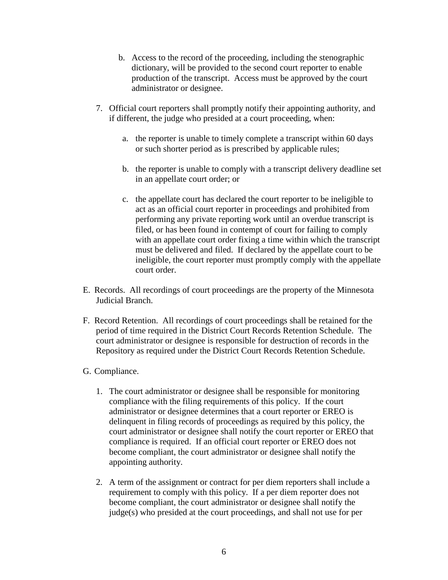- b. Access to the record of the proceeding, including the stenographic dictionary, will be provided to the second court reporter to enable production of the transcript. Access must be approved by the court administrator or designee.
- 7. Official court reporters shall promptly notify their appointing authority, and if different, the judge who presided at a court proceeding, when:
	- a. the reporter is unable to timely complete a transcript within 60 days or such shorter period as is prescribed by applicable rules;
	- b. the reporter is unable to comply with a transcript delivery deadline set in an appellate court order; or
	- c. the appellate court has declared the court reporter to be ineligible to act as an official court reporter in proceedings and prohibited from performing any private reporting work until an overdue transcript is filed, or has been found in contempt of court for failing to comply with an appellate court order fixing a time within which the transcript must be delivered and filed. If declared by the appellate court to be ineligible, the court reporter must promptly comply with the appellate court order.
- E. Records. All recordings of court proceedings are the property of the Minnesota Judicial Branch.
- F. Record Retention. All recordings of court proceedings shall be retained for the period of time required in the District Court Records Retention Schedule. The court administrator or designee is responsible for destruction of records in the Repository as required under the District Court Records Retention Schedule.
- G. Compliance.
	- 1. The court administrator or designee shall be responsible for monitoring compliance with the filing requirements of this policy. If the court administrator or designee determines that a court reporter or EREO is delinquent in filing records of proceedings as required by this policy, the court administrator or designee shall notify the court reporter or EREO that compliance is required. If an official court reporter or EREO does not become compliant, the court administrator or designee shall notify the appointing authority.
	- 2. A term of the assignment or contract for per diem reporters shall include a requirement to comply with this policy. If a per diem reporter does not become compliant, the court administrator or designee shall notify the judge(s) who presided at the court proceedings, and shall not use for per